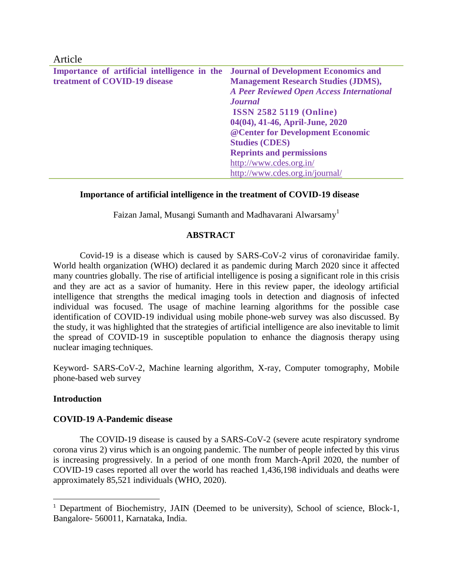| Article                                      |                                                  |
|----------------------------------------------|--------------------------------------------------|
| Importance of artificial intelligence in the | <b>Journal of Development Economics and</b>      |
| treatment of COVID-19 disease                | <b>Management Research Studies (JDMS),</b>       |
|                                              | <b>A Peer Reviewed Open Access International</b> |
|                                              | <b>Journal</b>                                   |
|                                              | <b>ISSN 2582 5119 (Online)</b>                   |
|                                              | 04(04), 41-46, April-June, 2020                  |
|                                              | @ Center for Development Economic                |
|                                              | <b>Studies (CDES)</b>                            |
|                                              | <b>Reprints and permissions</b>                  |
|                                              | http://www.cdes.org.in/                          |
|                                              | http://www.cdes.org.in/journal/                  |

#### **Importance of artificial intelligence in the treatment of COVID-19 disease**

Faizan Jamal, Musangi Sumanth and Madhavarani Alwarsamy<sup>1</sup>

#### **ABSTRACT**

Covid-19 is a disease which is caused by SARS-CoV-2 virus of coronaviridae family. World health organization (WHO) declared it as pandemic during March 2020 since it affected many countries globally. The rise of artificial intelligence is posing a significant role in this crisis and they are act as a savior of humanity. Here in this review paper, the ideology artificial intelligence that strengths the medical imaging tools in detection and diagnosis of infected individual was focused. The usage of machine learning algorithms for the possible case identification of COVID-19 individual using mobile phone-web survey was also discussed. By the study, it was highlighted that the strategies of artificial intelligence are also inevitable to limit the spread of COVID-19 in susceptible population to enhance the diagnosis therapy using nuclear imaging techniques.

Keyword- SARS-CoV-2, Machine learning algorithm, X-ray, Computer tomography, Mobile phone-based web survey

#### **Introduction**

 $\overline{a}$ 

#### **COVID-19 A-Pandemic disease**

The COVID-19 disease is caused by a SARS-CoV-2 (severe acute respiratory syndrome corona virus 2) virus which is an ongoing pandemic. The number of people infected by this virus is increasing progressively. In a period of one month from March-April 2020, the number of COVID-19 cases reported all over the world has reached 1,436,198 individuals and deaths were approximately 85,521 individuals (WHO, 2020).

<sup>&</sup>lt;sup>1</sup> Department of Biochemistry, JAIN (Deemed to be university), School of science, Block-1, Bangalore- 560011, Karnataka, India.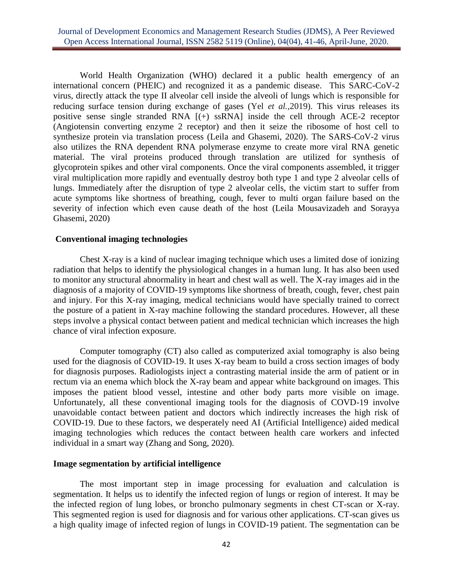World Health Organization (WHO) declared it a public health emergency of an international concern (PHEIC) and recognized it as a pandemic disease. This SARC-CoV-2 virus, directly attack the type II alveolar cell inside the alveoli of lungs which is responsible for reducing surface tension during exchange of gases (Yel *et al.,*2019). This virus releases its positive sense single stranded RNA [(+) ssRNA] inside the cell through ACE-2 receptor (Angiotensin converting enzyme 2 receptor) and then it seize the ribosome of host cell to synthesize protein via translation process (Leila and Ghasemi, 2020). The SARS-CoV-2 virus also utilizes the RNA dependent RNA polymerase enzyme to create more viral RNA genetic material. The viral proteins produced through translation are utilized for synthesis of glycoprotein spikes and other viral components. Once the viral components assembled, it trigger viral multiplication more rapidly and eventually destroy both type 1 and type 2 alveolar cells of lungs. Immediately after the disruption of type 2 alveolar cells, the victim start to suffer from acute symptoms like shortness of breathing, cough, fever to multi organ failure based on the severity of infection which even cause death of the host (Leila Mousavizadeh and Sorayya Ghasemi, 2020)

### **Conventional imaging technologies**

Chest X-ray is a kind of nuclear imaging technique which uses a limited dose of ionizing radiation that helps to identify the physiological changes in a human lung. It has also been used to monitor any structural abnormality in heart and chest wall as well. The X-ray images aid in the diagnosis of a majority of COVID-19 symptoms like shortness of breath, cough, fever, chest pain and injury. For this X-ray imaging, medical technicians would have specially trained to correct the posture of a patient in X-ray machine following the standard procedures. However, all these steps involve a physical contact between patient and medical technician which increases the high chance of viral infection exposure.

Computer tomography (CT) also called as computerized axial tomography is also being used for the diagnosis of COVID-19. It uses X-ray beam to build a cross section images of body for diagnosis purposes. Radiologists inject a contrasting material inside the arm of patient or in rectum via an enema which block the X-ray beam and appear white background on images. This imposes the patient blood vessel, intestine and other body parts more visible on image. Unfortunately, all these conventional imaging tools for the diagnosis of COVD-19 involve unavoidable contact between patient and doctors which indirectly increases the high risk of COVID-19. Due to these factors, we desperately need AI (Artificial Intelligence) aided medical imaging technologies which reduces the contact between health care workers and infected individual in a smart way (Zhang and Song, 2020).

# **Image segmentation by artificial intelligence**

The most important step in image processing for evaluation and calculation is segmentation. It helps us to identify the infected region of lungs or region of interest. It may be the infected region of lung lobes, or broncho pulmonary segments in chest CT-scan or X-ray. This segmented region is used for diagnosis and for various other applications. CT-scan gives us a high quality image of infected region of lungs in COVID-19 patient. The segmentation can be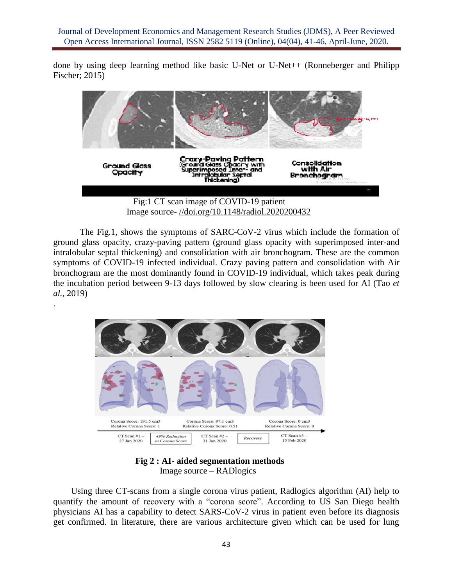done by using deep learning method like basic U-Net or U-Net ++ (Ronneberger and Philipp Fischer; 2015)



Image source- [//doi.org/10.1148/radiol.2020200432](https://doi.org/10.1148/radiol.2020200432)

The Fig.1, shows the symptoms of SARC-CoV-2 virus which include the formation of ground glass opacity, crazy-paving pattern (ground glass opacity with superimposed inter-and intralobular septal thickening) and consolidation with air bronchogram. These are the common symptoms of COVID-19 infected individual. Crazy paving pattern and consolidation with Air bronchogram are the most dominantly found in COVID-19 individual, which takes peak during the incubation period between 9-13 days followed by slow clearing is been used for AI (Tao *et al.,* 2019)



.

**Fig 2 : AI- aided segmentation methods** Image source – RADlogics

 Using three CT-scans from a single corona virus patient, Radlogics algorithm (AI) help to quantify the amount of recovery with a "corona score". According to US San Diego health physicians AI has a capability to detect SARS-CoV-2 virus in patient even before its diagnosis get confirmed. In literature, there are various architecture given which can be used for lung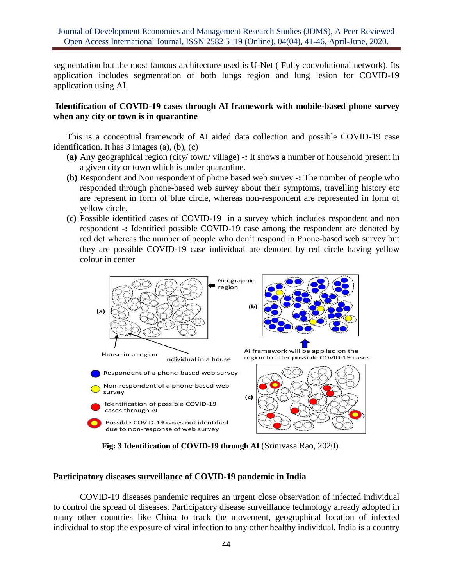segmentation but the most famous architecture used is U-Net ( Fully convolutional network). Its application includes segmentation of both lungs region and lung lesion for COVID-19 application using AI.

# **Identification of COVID-19 cases through AI framework with mobile-based phone survey when any city or town is in quarantine**

This is a conceptual framework of AI aided data collection and possible COVID-19 case identification. It has 3 images (a), (b), (c)

- **(a)** Any geographical region (city/ town/ village) **-:** It shows a number of household present in a given city or town which is under quarantine.
- **(b)** Respondent and Non respondent of phone based web survey **-:** The number of people who responded through phone-based web survey about their symptoms, travelling history etc are represent in form of blue circle, whereas non-respondent are represented in form of yellow circle.
- **(c)** Possible identified cases of COVID-19 in a survey which includes respondent and non respondent **-:** Identified possible COVID-19 case among the respondent are denoted by red dot whereas the number of people who don't respond in Phone-based web survey but they are possible COVID-19 case individual are denoted by red circle having yellow colour in center



 **Fig: 3 Identification of COVID-19 through AI** (Srinivasa Rao, 2020)

# **Participatory diseases surveillance of COVID-19 pandemic in India**

COVID-19 diseases pandemic requires an urgent close observation of infected individual to control the spread of diseases. Participatory disease surveillance technology already adopted in many other countries like China to track the movement, geographical location of infected individual to stop the exposure of viral infection to any other healthy individual. India is a country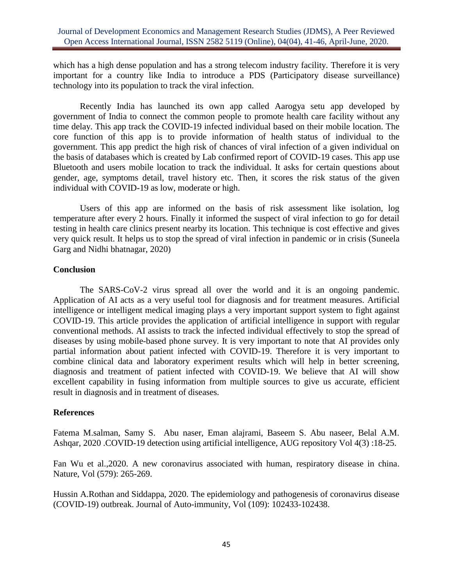## Journal of Development Economics and Management Research Studies (JDMS), A Peer Reviewed Open Access International Journal, ISSN 2582 5119 (Online), 04(04), 41-46, April-June, 2020.

which has a high dense population and has a strong telecom industry facility. Therefore it is very important for a country like India to introduce a PDS (Participatory disease surveillance) technology into its population to track the viral infection.

Recently India has launched its own app called Aarogya setu app developed by government of India to connect the common people to promote health care facility without any time delay. This app track the COVID-19 infected individual based on their mobile location. The core function of this app is to provide information of health status of individual to the government. This app predict the high risk of chances of viral infection of a given individual on the basis of databases which is created by Lab confirmed report of COVID-19 cases. This app use Bluetooth and users mobile location to track the individual. It asks for certain questions about gender, age, symptoms detail, travel history etc. Then, it scores the risk status of the given individual with COVID-19 as low, moderate or high.

Users of this app are informed on the basis of risk assessment like isolation, log temperature after every 2 hours. Finally it informed the suspect of viral infection to go for detail testing in health care clinics present nearby its location. This technique is cost effective and gives very quick result. It helps us to stop the spread of viral infection in pandemic or in crisis (Suneela Garg and Nidhi bhatnagar, 2020)

### **Conclusion**

The SARS-CoV-2 virus spread all over the world and it is an ongoing pandemic. Application of AI acts as a very useful tool for diagnosis and for treatment measures. Artificial intelligence or intelligent medical imaging plays a very important support system to fight against COVID-19. This article provides the application of artificial intelligence in support with regular conventional methods. AI assists to track the infected individual effectively to stop the spread of diseases by using mobile-based phone survey. It is very important to note that AI provides only partial information about patient infected with COVID-19. Therefore it is very important to combine clinical data and laboratory experiment results which will help in better screening, diagnosis and treatment of patient infected with COVID-19. We believe that AI will show excellent capability in fusing information from multiple sources to give us accurate, efficient result in diagnosis and in treatment of diseases.

# **References**

Fatema M.salman, Samy S. Abu naser, Eman alajrami, Baseem S. Abu naseer, Belal A.M. Ashqar, 2020 .COVID-19 detection using artificial intelligence, AUG repository Vol 4(3) :18-25.

Fan Wu et al.,2020. A new coronavirus associated with human, respiratory disease in china. Nature, Vol (579): 265-269.

Hussin A.Rothan and Siddappa, 2020. The epidemiology and pathogenesis of coronavirus disease (COVID-19) outbreak. Journal of Auto-immunity, Vol (109): 102433-102438.